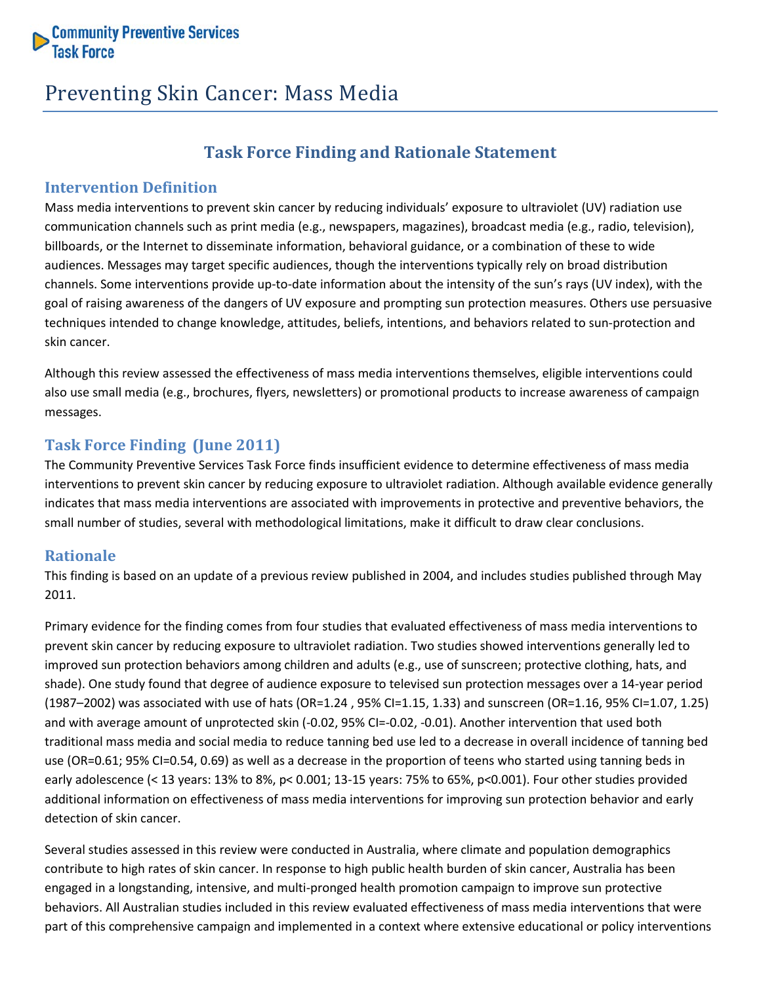

# Preventing Skin Cancer: Mass Media

# **Task Force Finding and Rationale Statement**

#### **Intervention Definition**

Mass media interventions to prevent skin cancer by reducing individuals' exposure to ultraviolet (UV) radiation use communication channels such as print media (e.g., newspapers, magazines), broadcast media (e.g., radio, television), billboards, or the Internet to disseminate information, behavioral guidance, or a combination of these to wide audiences. Messages may target specific audiences, though the interventions typically rely on broad distribution channels. Some interventions provide up-to-date information about the intensity of the sun's rays (UV index), with the goal of raising awareness of the dangers of UV exposure and prompting sun protection measures. Others use persuasive techniques intended to change knowledge, attitudes, beliefs, intentions, and behaviors related to sun-protection and skin cancer.

Although this review assessed the effectiveness of mass media interventions themselves, eligible interventions could also use small media (e.g., brochures, flyers, newsletters) or promotional products to increase awareness of campaign messages.

## **Task Force Finding (June 2011)**

The Community Preventive Services Task Force finds insufficient evidence to determine effectiveness of mass media interventions to prevent skin cancer by reducing exposure to ultraviolet radiation. Although available evidence generally indicates that mass media interventions are associated with improvements in protective and preventive behaviors, the small number of studies, several with methodological limitations, make it difficult to draw clear conclusions.

### **Rationale**

This finding is based on an update of a previous review published in 2004, and includes studies published through May 2011.

Primary evidence for the finding comes from four studies that evaluated effectiveness of mass media interventions to prevent skin cancer by reducing exposure to ultraviolet radiation. Two studies showed interventions generally led to improved sun protection behaviors among children and adults (e.g., use of sunscreen; protective clothing, hats, and shade). One study found that degree of audience exposure to televised sun protection messages over a 14-year period (1987–2002) was associated with use of hats (OR=1.24 , 95% CI=1.15, 1.33) and sunscreen (OR=1.16, 95% CI=1.07, 1.25) and with average amount of unprotected skin (-0.02, 95% CI=-0.02, -0.01). Another intervention that used both traditional mass media and social media to reduce tanning bed use led to a decrease in overall incidence of tanning bed use (OR=0.61; 95% CI=0.54, 0.69) as well as a decrease in the proportion of teens who started using tanning beds in early adolescence (< 13 years: 13% to 8%, p< 0.001; 13-15 years: 75% to 65%, p<0.001). Four other studies provided additional information on effectiveness of mass media interventions for improving sun protection behavior and early detection of skin cancer.

Several studies assessed in this review were conducted in Australia, where climate and population demographics contribute to high rates of skin cancer. In response to high public health burden of skin cancer, Australia has been engaged in a longstanding, intensive, and multi-pronged health promotion campaign to improve sun protective behaviors. All Australian studies included in this review evaluated effectiveness of mass media interventions that were part of this comprehensive campaign and implemented in a context where extensive educational or policy interventions